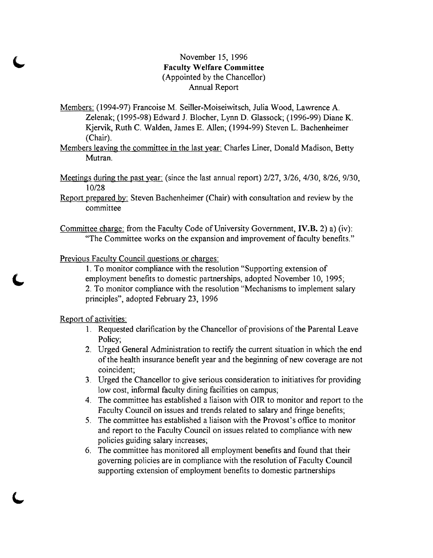## November 15, 1996 **Faculty Welfare Committee**  (Appointed by the Chancellor) Annual Report

- Members: (1994-97) Francoise M. Seiller-Moiseiwitsch, Julia Wood, Lawrence A. Zelenak; (1995-98) Edward 1. Blocher, Lynn D. Glassock; (1996-99) Diane K. Kjervik, Ruth C. Walden, James E. Allen; (1994-99) Steven L. Bachenheimer (Chair).
- Members leaving the committee in the last year: Charles Liner, Donald Madison, Betty Mutran.
- Meetings during the past year: (since the last annual report) 2/27, 3/26, 4/30, 8/26, 9/30, 10/28
- Report prepared by: Steven Bachenheimer (Chair) with consultation and review by the committee
- Committee charge: from the Faculty Code of University Government, **IV.B.** 2) a) (iv): "The Committee works on the expansion and improvement of faculty benefits."

Previous Faculty Council questions or charges:

1. To monitor compliance with the resolution "Supporting extension of employment benefits to domestic partnerships, adopted November 10, 1995; 2. To monitor compliance with the resolution "Mechanisms to implement salary principles", adopted February 23, 1996

Report of activities:

- 1. Requested clarification by the Chancellor of provisions of the Parental Leave Policy;
- 2. Urged General Administration to rectify the current situation in which the end of the health insurance benefit year and the beginning of new coverage are not coincident;
- 3. Urged the Chancellor to give serious consideration to initiatives for providing low cost, informal faculty dining facilities on campus;
- 4. The committee has established a liaison with OIR to monitor and report to the Faculty Council on issues and trends related to salary and fringe benefits;
- 5. The committee has established a liaison with the Provost's office to monitor and report to the Faculty Council on issues related to compliance with new policies guiding salary increases;
- 6. The committee has monitored all employment benefits and found that their governing policies are in compliance with the resolution of Faculty Council supporting extension of employment benefits to domestic partnerships